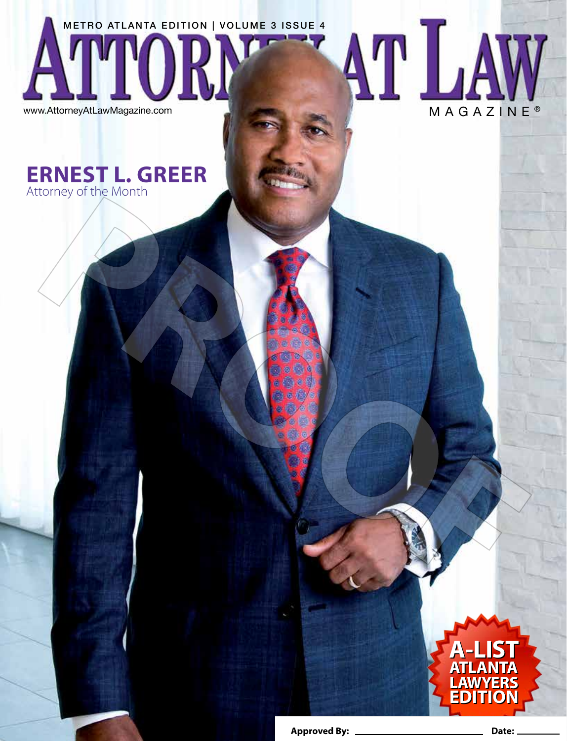METRO ATLANTA EDITION | VOLUME 3 ISSUE 4

www.AttorneyAtLawMagazine.com

## **ERNEST L. GREER** Attorney of the Month

**Approved By: Date:**

**A-LIST ATLANTA LAWYERS EDITION**

**A-LIST ATLANTA LAWYERS EDITION** 

AT LAW

W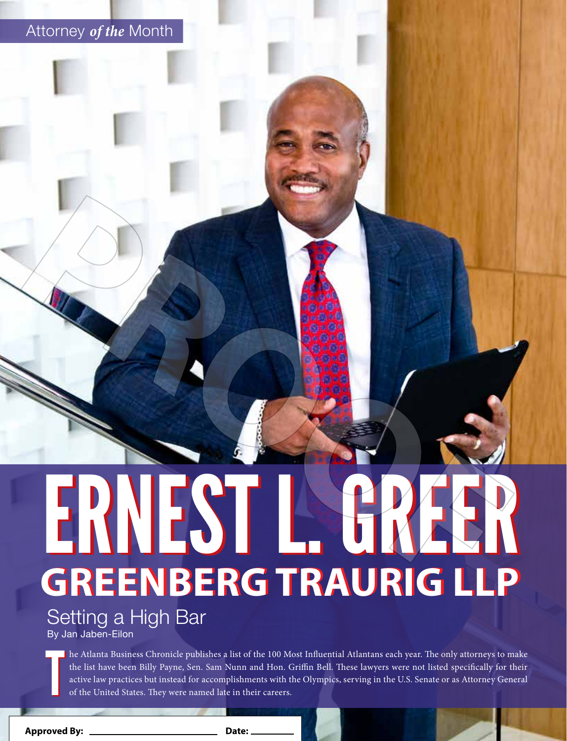## Attorney *of the* Month

# **GREENBERG TRAURIG LLP GREENBERG TRAURIG LLP** ERNEST L.

Setting a High Bar

By Jan Jaben-Eilon

T he Atlanta Business Chronicle publishes a list of the 100 Most Influential Atlantans each year. The only attorneys to make the list have been Billy Payne, Sen. Sam Nunn and Hon. Griffin Bell. These lawyers were not listed specifically for their active law practices but instead for accomplishments with the Olympics, serving in the U.S. Senate or as Attorney General of the United States. They were named late in their careers.

**16 |** www.AttorneyAtLawMagazine.com **Approved By: Date:**

T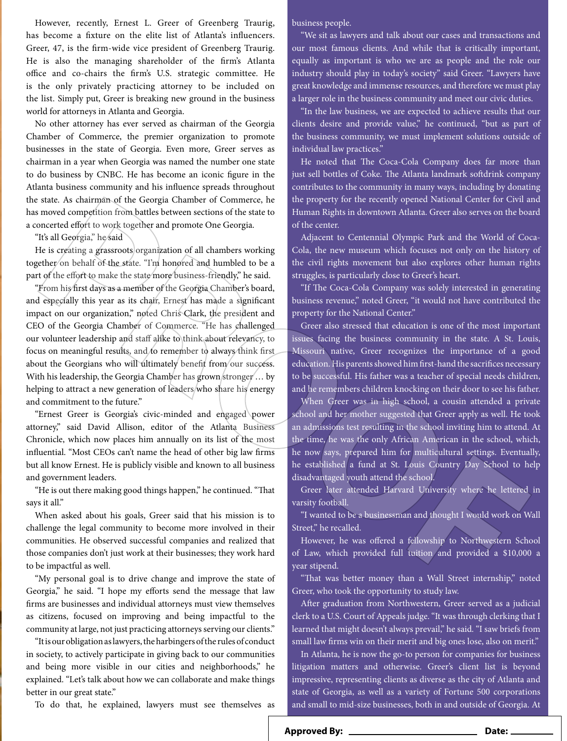However, recently, Ernest L. Greer of Greenberg Traurig, has become a fixture on the elite list of Atlanta's influencers. Greer, 47, is the firm-wide vice president of Greenberg Traurig. He is also the managing shareholder of the firm's Atlanta office and co-chairs the firm's U.S. strategic committee. He is the only privately practicing attorney to be included on the list. Simply put, Greer is breaking new ground in the business world for attorneys in Atlanta and Georgia.

No other attorney has ever served as chairman of the Georgia Chamber of Commerce, the premier organization to promote businesses in the state of Georgia. Even more, Greer serves as chairman in a year when Georgia was named the number one state to do business by CNBC. He has become an iconic figure in the Atlanta business community and his influence spreads throughout the state. As chairman of the Georgia Chamber of Commerce, he has moved competition from battles between sections of the state to a concerted effort to work together and promote One Georgia.

"It's all Georgia," he said

He is creating a grassroots organization of all chambers working together on behalf of the state. "I'm honored and humbled to be a part of the effort to make the state more business-friendly," he said.

"From his first days as a member of the Georgia Chamber's board, and especially this year as its chair, Ernest has made a significant impact on our organization," noted Chris Clark, the president and CEO of the Georgia Chamber of Commerce. "He has challenged our volunteer leadership and staff alike to think about relevancy, to focus on meaningful results, and to remember to always think first about the Georgians who will ultimately benefit from our success. With his leadership, the Georgia Chamber has grown stronger... by helping to attract a new generation of leaders/who share his energy and commitment to the future."

"Ernest Greer is Georgia's civic-minded and engaged power attorney," said David Allison, editor of the Atlanta Business Chronicle, which now places him annually on its list of the most influential. "Most CEOs can't name the head of other big law firms but all know Ernest. He is publicly visible and known to all business and government leaders.

"He is out there making good things happen," he continued. "That says it all."

When asked about his goals, Greer said that his mission is to challenge the legal community to become more involved in their communities. He observed successful companies and realized that those companies don't just work at their businesses; they work hard to be impactful as well.

"My personal goal is to drive change and improve the state of Georgia," he said. "I hope my efforts send the message that law firms are businesses and individual attorneys must view themselves as citizens, focused on improving and being impactful to the community at large, not just practicing attorneys serving our clients."

"It is our obligation as lawyers, the harbingers of the rules of conduct in society, to actively participate in giving back to our communities and being more visible in our cities and neighborhoods," he explained. "Let's talk about how we can collaborate and make things better in our great state."

To do that, he explained, lawyers must see themselves as

business people.

"We sit as lawyers and talk about our cases and transactions and our most famous clients. And while that is critically important, equally as important is who we are as people and the role our industry should play in today's society" said Greer. "Lawyers have great knowledge and immense resources, and therefore we must play a larger role in the business community and meet our civic duties.

"In the law business, we are expected to achieve results that our clients desire and provide value," he continued, "but as part of the business community, we must implement solutions outside of individual law practices."

He noted that The Coca-Cola Company does far more than just sell bottles of Coke. The Atlanta landmark softdrink company contributes to the community in many ways, including by donating the property for the recently opened National Center for Civil and Human Rights in downtown Atlanta. Greer also serves on the board of the center.

Adjacent to Centennial Olympic Park and the World of Coca-Cola, the new museum which focuses not only on the history of the civil rights movement but also explores other human rights struggles, is particularly close to Greer's heart.

"If The Coca-Cola Company was solely interested in generating business revenue," noted Greer, "it would not have contributed the property for the National Center."

Greer also stressed that education is one of the most important issues facing the business community in the state. A St. Louis, Missouri native, Greer recognizes the importance of a good education. His parents showed him first-hand the sacrifices necessary to be successful. His father was a teacher of special needs children, and he remembers children knocking on their door to see his father.

When Greer was in high school, a cousin attended a private school and her mother suggested that Greer apply as well. He took an admissions test resulting in the school inviting him to attend. At the time, he was the only African American in the school, which, he now says, prepared him for multicultural settings. Eventually, he established a fund at St. Louis Country Day School to help disadvantaged youth attend the school.

Greer later attended Harvard University where he lettered in varsity football.

"I wanted to be a businessman and thought I would work on Wall Street," he recalled.

However, he was offered a fellowship to Northwestern School of Law, which provided full tuition and provided a \$10,000 a year stipend.

"That was better money than a Wall Street internship," noted Greer, who took the opportunity to study law.

After graduation from Northwestern, Greer served as a judicial clerk to a U.S. Court of Appeals judge. "It was through clerking that I learned that might doesn't always prevail," he said. "I saw briefs from small law firms win on their merit and big ones lose, also on merit."

In Atlanta, he is now the go-to person for companies for business litigation matters and otherwise. Greer's client list is beyond impressive, representing clients as diverse as the city of Atlanta and state of Georgia, as well as a variety of Fortune 500 corporations and small to mid-size businesses, both in and outside of Georgia. At

**Approved By: Date:**